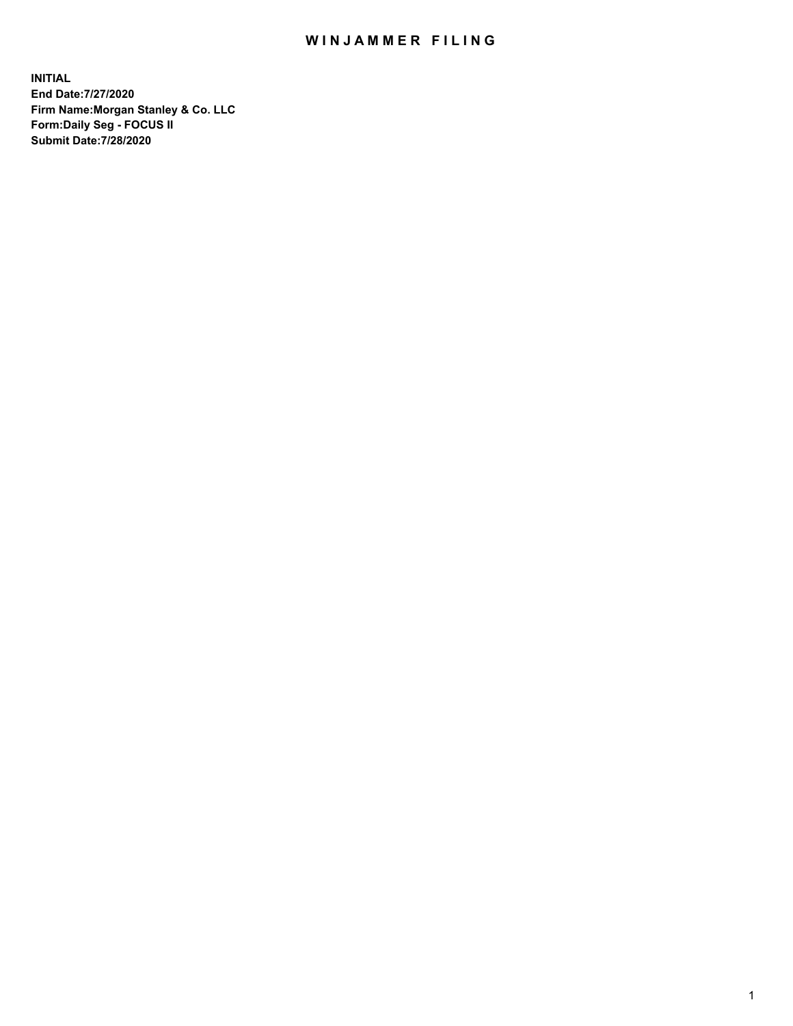## WIN JAMMER FILING

**INITIAL End Date:7/27/2020 Firm Name:Morgan Stanley & Co. LLC Form:Daily Seg - FOCUS II Submit Date:7/28/2020**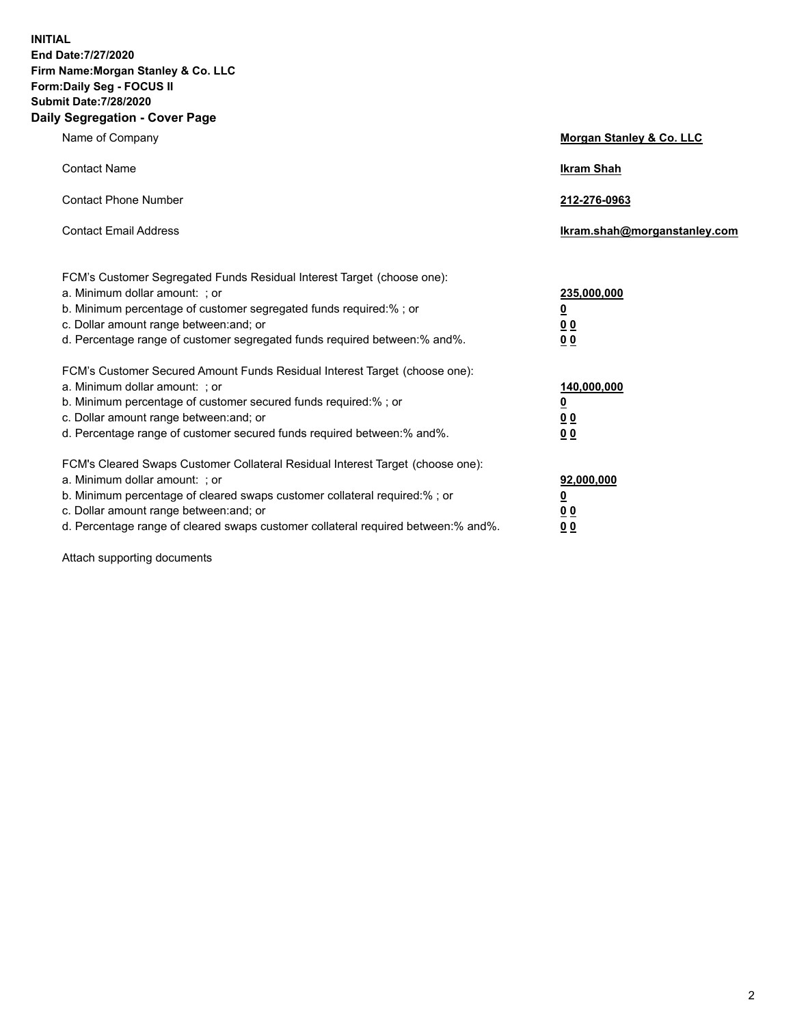**INITIAL End Date:7/27/2020 Firm Name:Morgan Stanley & Co. LLC Form:Daily Seg - FOCUS II Submit Date:7/28/2020 Daily Segregation - Cover Page**

| Name of Company                                                                                                                                                                                                                                                                                                                | Morgan Stanley & Co. LLC                                |
|--------------------------------------------------------------------------------------------------------------------------------------------------------------------------------------------------------------------------------------------------------------------------------------------------------------------------------|---------------------------------------------------------|
| <b>Contact Name</b>                                                                                                                                                                                                                                                                                                            | <b>Ikram Shah</b>                                       |
| <b>Contact Phone Number</b>                                                                                                                                                                                                                                                                                                    | 212-276-0963                                            |
| <b>Contact Email Address</b>                                                                                                                                                                                                                                                                                                   | Ikram.shah@morganstanley.com                            |
| FCM's Customer Segregated Funds Residual Interest Target (choose one):<br>a. Minimum dollar amount: ; or<br>b. Minimum percentage of customer segregated funds required:% ; or<br>c. Dollar amount range between: and; or<br>d. Percentage range of customer segregated funds required between:% and%.                         | 235,000,000<br><u>0</u><br><u>00</u><br><u>00</u>       |
| FCM's Customer Secured Amount Funds Residual Interest Target (choose one):<br>a. Minimum dollar amount: ; or<br>b. Minimum percentage of customer secured funds required:%; or<br>c. Dollar amount range between: and; or<br>d. Percentage range of customer secured funds required between:% and%.                            | 140,000,000<br><u>0</u><br><u>0 0</u><br>0 <sub>0</sub> |
| FCM's Cleared Swaps Customer Collateral Residual Interest Target (choose one):<br>a. Minimum dollar amount: ; or<br>b. Minimum percentage of cleared swaps customer collateral required:% ; or<br>c. Dollar amount range between: and; or<br>d. Percentage range of cleared swaps customer collateral required between:% and%. | 92,000,000<br><u>0</u><br><u>00</u><br>00               |

Attach supporting documents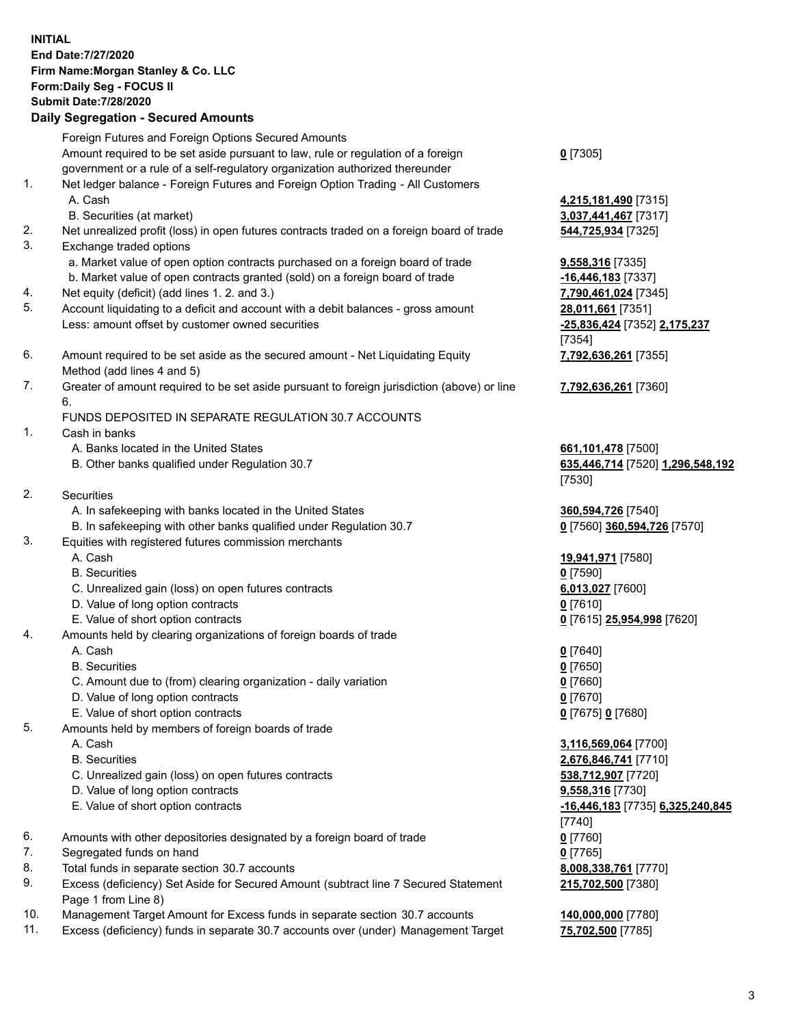| <b>INITIAL</b> | End Date: 7/27/2020<br>Firm Name: Morgan Stanley & Co. LLC<br>Form: Daily Seg - FOCUS II<br><b>Submit Date: 7/28/2020</b><br><b>Daily Segregation - Secured Amounts</b> |                                                          |
|----------------|-------------------------------------------------------------------------------------------------------------------------------------------------------------------------|----------------------------------------------------------|
|                | Foreign Futures and Foreign Options Secured Amounts                                                                                                                     |                                                          |
|                | Amount required to be set aside pursuant to law, rule or regulation of a foreign<br>government or a rule of a self-regulatory organization authorized thereunder        | $0$ [7305]                                               |
| 1.             | Net ledger balance - Foreign Futures and Foreign Option Trading - All Customers                                                                                         |                                                          |
|                | A. Cash                                                                                                                                                                 | 4,215,181,490 [7315]                                     |
| 2.             | B. Securities (at market)                                                                                                                                               | 3,037,441,467 [7317]                                     |
| 3.             | Net unrealized profit (loss) in open futures contracts traded on a foreign board of trade<br>Exchange traded options                                                    | 544,725,934 [7325]                                       |
|                | a. Market value of open option contracts purchased on a foreign board of trade                                                                                          | 9,558,316 [7335]                                         |
|                | b. Market value of open contracts granted (sold) on a foreign board of trade                                                                                            | -16,446,183 [7337]                                       |
| 4.             | Net equity (deficit) (add lines 1. 2. and 3.)                                                                                                                           | 7,790,461,024 [7345]                                     |
| 5.             | Account liquidating to a deficit and account with a debit balances - gross amount                                                                                       | 28,011,661 [7351]                                        |
|                | Less: amount offset by customer owned securities                                                                                                                        | -25,836,424 [7352] 2,175,237                             |
| 6.             | Amount required to be set aside as the secured amount - Net Liquidating Equity                                                                                          | [7354]                                                   |
|                | Method (add lines 4 and 5)                                                                                                                                              | 7,792,636,261 [7355]                                     |
| 7.             | Greater of amount required to be set aside pursuant to foreign jurisdiction (above) or line                                                                             | 7,792,636,261 [7360]                                     |
|                | 6.                                                                                                                                                                      |                                                          |
|                | FUNDS DEPOSITED IN SEPARATE REGULATION 30.7 ACCOUNTS                                                                                                                    |                                                          |
| 1.             | Cash in banks                                                                                                                                                           |                                                          |
|                | A. Banks located in the United States<br>B. Other banks qualified under Regulation 30.7                                                                                 | 661, 101, 478 [7500]<br>635,446,714 [7520] 1,296,548,192 |
|                |                                                                                                                                                                         | [7530]                                                   |
| 2.             | <b>Securities</b>                                                                                                                                                       |                                                          |
|                | A. In safekeeping with banks located in the United States                                                                                                               | 360,594,726 [7540]                                       |
|                | B. In safekeeping with other banks qualified under Regulation 30.7                                                                                                      | 0 [7560] 360,594,726 [7570]                              |
| 3.             | Equities with registered futures commission merchants                                                                                                                   |                                                          |
|                | A. Cash<br><b>B.</b> Securities                                                                                                                                         | 19,941,971 [7580]                                        |
|                | C. Unrealized gain (loss) on open futures contracts                                                                                                                     | $0$ [7590]<br>6,013,027 [7600]                           |
|                | D. Value of long option contracts                                                                                                                                       | $0$ [7610]                                               |
|                | E. Value of short option contracts                                                                                                                                      | 0 [7615] 25,954,998 [7620]                               |
| 4.             | Amounts held by clearing organizations of foreign boards of trade                                                                                                       |                                                          |
|                | A. Cash                                                                                                                                                                 | $0$ [7640]                                               |
|                | <b>B.</b> Securities                                                                                                                                                    | $0$ [7650]                                               |
|                | C. Amount due to (from) clearing organization - daily variation<br>D. Value of long option contracts                                                                    | $0$ [7660]<br>$0$ [7670]                                 |
|                | E. Value of short option contracts                                                                                                                                      | 0 [7675] 0 [7680]                                        |
| 5.             | Amounts held by members of foreign boards of trade                                                                                                                      |                                                          |
|                | A. Cash                                                                                                                                                                 | 3,116,569,064 [7700]                                     |
|                | <b>B.</b> Securities                                                                                                                                                    | 2,676,846,741 [7710]                                     |
|                | C. Unrealized gain (loss) on open futures contracts                                                                                                                     | 538,712,907 [7720]                                       |
|                | D. Value of long option contracts                                                                                                                                       | 9,558,316 [7730]                                         |
|                | E. Value of short option contracts                                                                                                                                      | -16,446,183 <sup>[7735]</sup> 6,325,240,845<br>[7740]    |
| 6.             | Amounts with other depositories designated by a foreign board of trade                                                                                                  | $0$ [7760]                                               |
| 7.             | Segregated funds on hand                                                                                                                                                | $0$ [7765]                                               |
| 8.             | Total funds in separate section 30.7 accounts                                                                                                                           | 8,008,338,761 [7770]                                     |
| 9.             | Excess (deficiency) Set Aside for Secured Amount (subtract line 7 Secured Statement<br>Page 1 from Line 8)                                                              | 215,702,500 [7380]                                       |

- 10. Management Target Amount for Excess funds in separate section 30.7 accounts **140,000,000** [7780]
- 11. Excess (deficiency) funds in separate 30.7 accounts over (under) Management Target **75,702,500** [7785]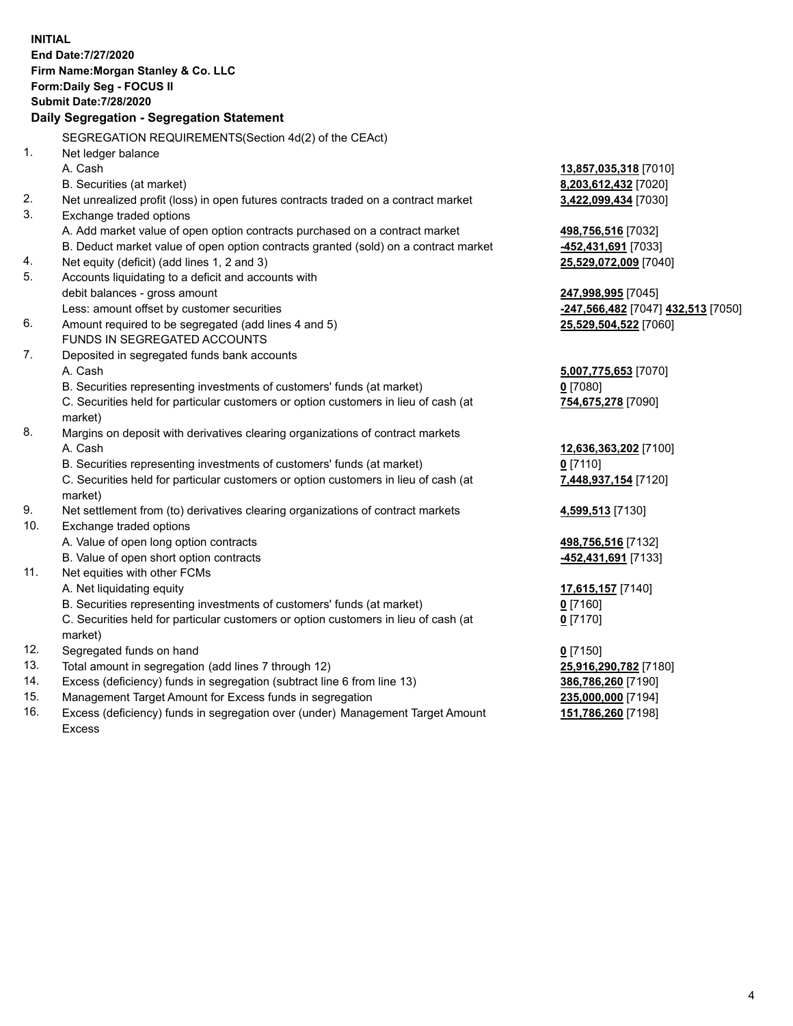**INITIAL End Date:7/27/2020 Firm Name:Morgan Stanley & Co. LLC Form:Daily Seg - FOCUS II Submit Date:7/28/2020 Daily Segregation - Segregation Statement** SEGREGATION REQUIREMENTS(Section 4d(2) of the CEAct) 1. Net ledger balance A. Cash **13,857,035,318** [7010] B. Securities (at market) **8,203,612,432** [7020] 2. Net unrealized profit (loss) in open futures contracts traded on a contract market **3,422,099,434** [7030] 3. Exchange traded options A. Add market value of open option contracts purchased on a contract market **498,756,516** [7032] B. Deduct market value of open option contracts granted (sold) on a contract market **-452,431,691** [7033] 4. Net equity (deficit) (add lines 1, 2 and 3) **25,529,072,009** [7040] 5. Accounts liquidating to a deficit and accounts with debit balances - gross amount **247,998,995** [7045] Less: amount offset by customer securities **-247,566,482** [7047] **432,513** [7050] 6. Amount required to be segregated (add lines 4 and 5) **25,529,504,522** [7060] FUNDS IN SEGREGATED ACCOUNTS 7. Deposited in segregated funds bank accounts A. Cash **5,007,775,653** [7070] B. Securities representing investments of customers' funds (at market) **0** [7080] C. Securities held for particular customers or option customers in lieu of cash (at market) **754,675,278** [7090] 8. Margins on deposit with derivatives clearing organizations of contract markets A. Cash **12,636,363,202** [7100] B. Securities representing investments of customers' funds (at market) **0** [7110] C. Securities held for particular customers or option customers in lieu of cash (at market) **7,448,937,154** [7120] 9. Net settlement from (to) derivatives clearing organizations of contract markets **4,599,513** [7130] 10. Exchange traded options A. Value of open long option contracts **498,756,516** [7132] B. Value of open short option contracts **-452,431,691** [7133] 11. Net equities with other FCMs A. Net liquidating equity **17,615,157** [7140] B. Securities representing investments of customers' funds (at market) **0** [7160] C. Securities held for particular customers or option customers in lieu of cash (at market) **0** [7170] 12. Segregated funds on hand **0** [7150] 13. Total amount in segregation (add lines 7 through 12) **25,916,290,782** [7180] 14. Excess (deficiency) funds in segregation (subtract line 6 from line 13) **386,786,260** [7190] 15. Management Target Amount for Excess funds in segregation **235,000,000** [7194] 16. Excess (deficiency) funds in segregation over (under) Management Target Amount **151,786,260** [7198]

Excess